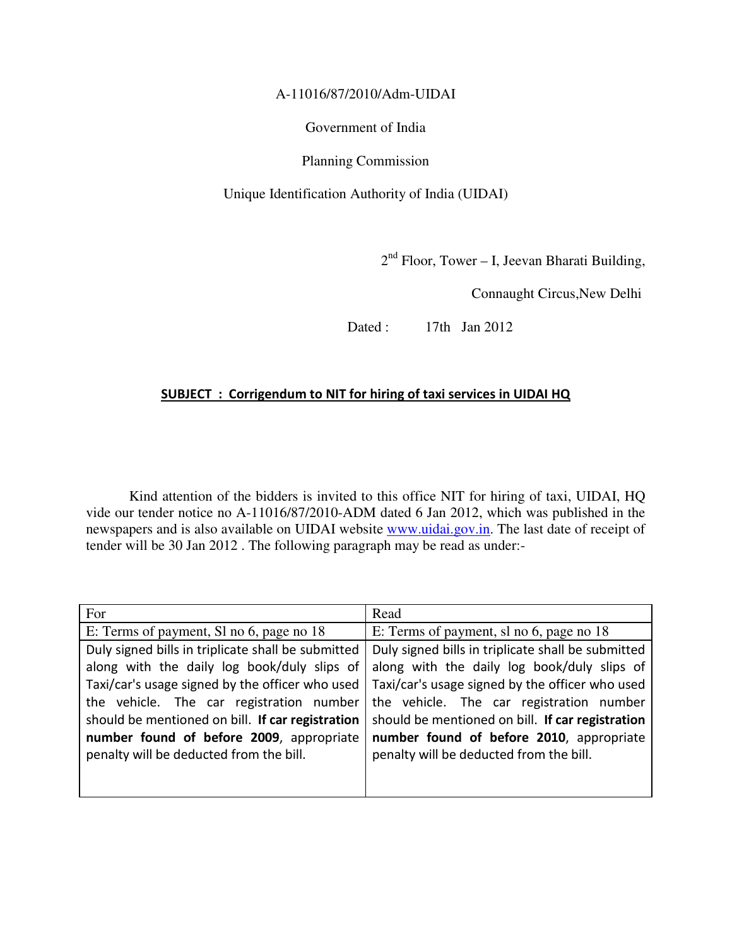A-11016/87/2010/Adm-UIDAI

Government of India

Planning Commission

Unique Identification Authority of India (UIDAI)

2<sup>nd</sup> Floor, Tower – I, Jeevan Bharati Building,

Connaught Circus,New Delhi

Dated : 17th Jan 2012

## SUBJECT : Corrigendum to NIT for hiring of taxi services in UIDAI HQ

Kind attention of the bidders is invited to this office NIT for hiring of taxi, UIDAI, HQ vide our tender notice no A-11016/87/2010-ADM dated 6 Jan 2012, which was published in the newspapers and is also available on UIDAI website www.uidai.gov.in. The last date of receipt of tender will be 30 Jan 2012 . The following paragraph may be read as under:-

| For                                                | Read                                               |
|----------------------------------------------------|----------------------------------------------------|
| E: Terms of payment, Sl no 6, page no 18           | E: Terms of payment, sl no 6, page no 18           |
| Duly signed bills in triplicate shall be submitted | Duly signed bills in triplicate shall be submitted |
| along with the daily log book/duly slips of        | along with the daily log book/duly slips of        |
| Taxi/car's usage signed by the officer who used    | Taxi/car's usage signed by the officer who used    |
| the vehicle. The car registration number           | the vehicle. The car registration number           |
| should be mentioned on bill. If car registration   | should be mentioned on bill. If car registration   |
| number found of before 2009, appropriate           | number found of before 2010, appropriate           |
| penalty will be deducted from the bill.            | penalty will be deducted from the bill.            |
|                                                    |                                                    |
|                                                    |                                                    |